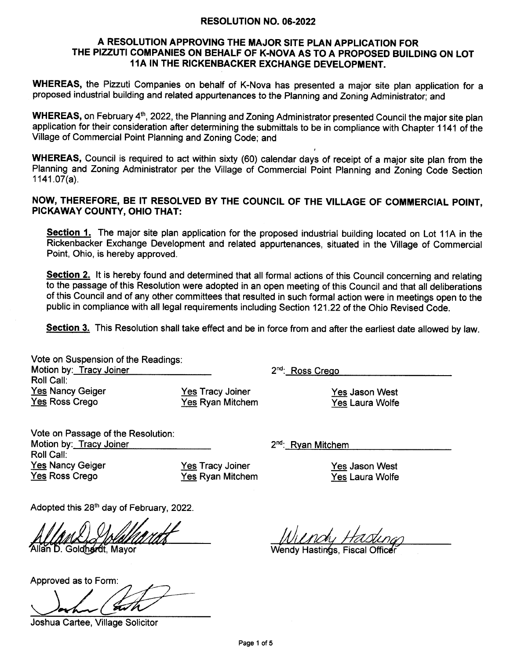#### RESOLUTION NO. 06.2022

### A RESOLUTION APPROVING THE MAJOR SITE PLAN APPLICATION FOR THE PIZZUTI COMPANIES ON BEHALF OF K-NOVA AS TO A PROPOSED BUILDING ON LOT 11A IN THE RICKENBACKER EXCHANGE DEVELOPMENT.

WHEREAS, the Pizzuti Companies on behalf of K-Nova has presented a major site plan application for a proposed industrial building and related appurtenances to the Planning and Zoning Administrator; and

WHEREAS, on February 4<sup>th</sup>, 2022, the Planning and Zoning Administrator presented Council the major site plan application for their consideration after determining the submittals to be in compliance with Chapter 1141 of the Village of Commercial Point Planning and Zoning Code; and

WHEREAS, Council is required to act within sixty (60) calendar days of receipt of a major site plan from the Planning and Zoning Administrator per the Village of Commercial Point Planning and Zoning Code Section 1141.07(a).

## NOW, THEREFORE, BE IT RESOLVED BY THE COUNCIL OF THE VILLAGE OF COMMERCIAL POINT, PICKAWAY COUNTY, OHIO THAT:

Section 1. The major site plan application for the proposed industrial building located on Lot 11A in the Rickenbacker Exchange Development and related appurtenances, situated in the Village of Commercial Point, Ohio, is hereby approved.

**Section 2.** It is hereby found and determined that all formal actions of this Council concerning and relating to the passage of this Resolution were adopted in an open meeting of this Council and that all deliberations of this Council and of any other committees that resulted in such formal action were in meetings open to the public in compliance with all legal requirements including Section 121.22 of the Ohio Revised Code.

Section 3. This Resolution shall take effect and be in force from and after the earliest date allowed by law.

Vote on Suspension of the Readings Motion by: Tracy Joiner Roll Call: **Yes Nancy Geiger** Yes Ross Crego

Yes Tracy Joiner Yes Ryan Mitchem 2<sup>nd</sup>: Ross Crego

Yes Jason West Yes Laura Wolfe

Vote on Passage of the Resolution Motion by: Tracy Joiner Roll Call: Yes Nancy Geiger Yes Ross Crego

Yes Tracy Joiner Yes Ryan Mitchem

2<sup>nd</sup>: Ryan Mitchem

Yes Jason West Yes Laura Wolfe

Adopted this 28<sup>th</sup> day of February, 2022.

Allan D. Goldhardt, Mayor

Approved as to Form

Joshua Cartee, Village Solicitor

Wendy Hastin<mark>g</mark>s, Fiscal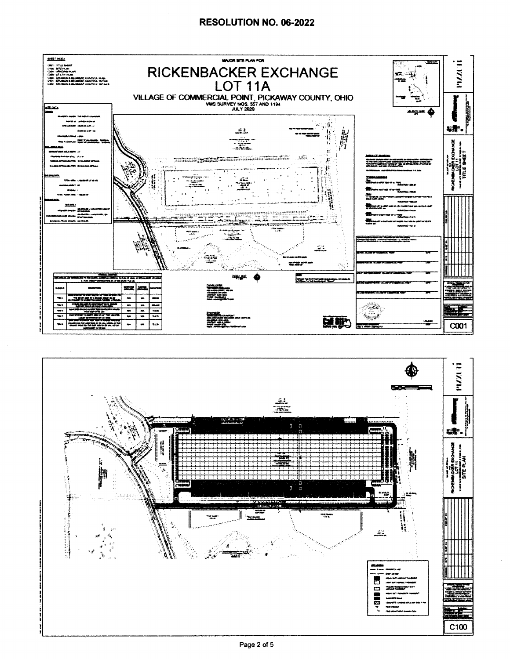### RESOLUTION NO. 06-2022



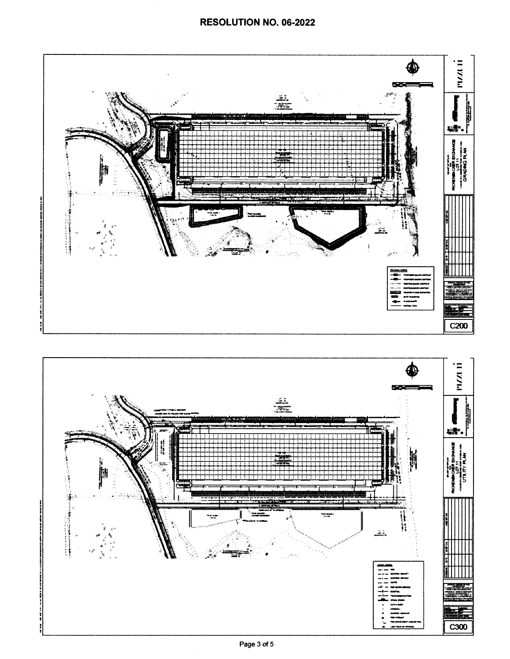

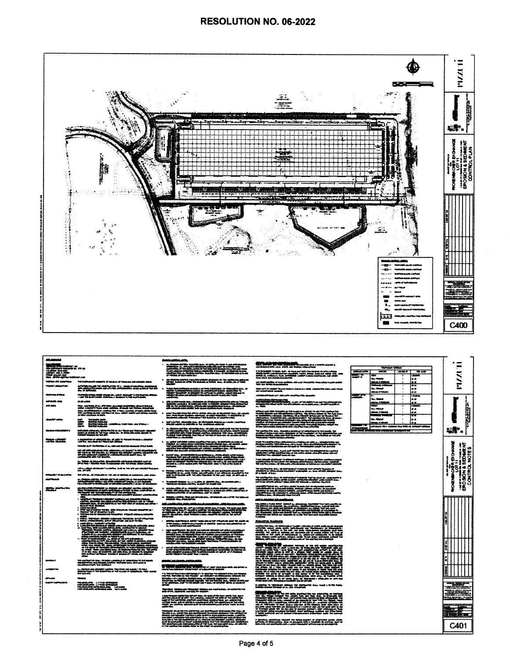

| <b><i><u><i>BELIMBER</i></u></i></b>                                                                      |                                                                                                                                                                                                                                                                                                                                                                                                                                                                                                                                                                | <b>Senior Addition and the</b>                                                                                                                                                                                                                                                                                                                                                                                                                                                     |                                                                                                                                                                                                                                      |                                                                                               |                                            |
|-----------------------------------------------------------------------------------------------------------|----------------------------------------------------------------------------------------------------------------------------------------------------------------------------------------------------------------------------------------------------------------------------------------------------------------------------------------------------------------------------------------------------------------------------------------------------------------------------------------------------------------------------------------------------------------|------------------------------------------------------------------------------------------------------------------------------------------------------------------------------------------------------------------------------------------------------------------------------------------------------------------------------------------------------------------------------------------------------------------------------------------------------------------------------------|--------------------------------------------------------------------------------------------------------------------------------------------------------------------------------------------------------------------------------------|-----------------------------------------------------------------------------------------------|--------------------------------------------|
|                                                                                                           |                                                                                                                                                                                                                                                                                                                                                                                                                                                                                                                                                                |                                                                                                                                                                                                                                                                                                                                                                                                                                                                                    | <b>SPURK THE RESIDENCE</b>                                                                                                                                                                                                           |                                                                                               | . .                                        |
|                                                                                                           |                                                                                                                                                                                                                                                                                                                                                                                                                                                                                                                                                                |                                                                                                                                                                                                                                                                                                                                                                                                                                                                                    |                                                                                                                                                                                                                                      | <b>STAND SORT</b><br>--<br><b>SALE</b><br><b>COMPANY</b>                                      | ÷                                          |
| BAE                                                                                                       |                                                                                                                                                                                                                                                                                                                                                                                                                                                                                                                                                                | <b>SERIE CONSUME</b>                                                                                                                                                                                                                                                                                                                                                                                                                                                               | T A PARAMENT, FA SHIN, AUR-, JA FAAR SUIT JATATAN ANGANG JA 1870 A 2000<br>ANGENDERI CANARANG SIY ANGATAR, PANG, ANGA ANGANG ANGA ANG JANA<br>ANG KING ANG SANGAN ANG JASITAL<br>ANG KING ANG SANGAN ANG JASITAL                     | $-1$<br><b>No. MADA</b><br>د ه                                                                | ₹                                          |
| CONTRACTOR COMPTOMA                                                                                       | Tell the financial comments are partners are requested and comments were                                                                                                                                                                                                                                                                                                                                                                                                                                                                                       | alle Maladas scalifica, fuestada addição alcanoadoreir foi administrativa aplica na<br>Alfrega Tualana da Alfrey Pre ascelada ao Político do as alfredos ao alfredos.<br>Alfredos Francisco<br>$\bullet$                                                                                                                                                                                                                                                                           | and Abdill applicited at least subjects and subjected reconstructions and states and the abdilla.<br>Their your district substantinesses                                                                                             | <b>REGISTER</b><br>■※<br><b>The Color</b>                                                     | ∽<br>₩                                     |
| MARCI MALAYSIA                                                                                            | a Charlotte collected from collectifications and a company and compatibles consenting and the collection of the<br>Anti- and advanced to advance compatible from the company and and all the collection from anti-<br>Anti- of The C                                                                                                                                                                                                                                                                                                                           |                                                                                                                                                                                                                                                                                                                                                                                                                                                                                    | स्थिति । यदी रहे अन्तर्गतानि सिद्धांतात सेनेसाठ ने असाइने काम संसाम (अस्तर्गतानामान कांग्रेस, अस्तर स्थानक<br>सर्वत संसारमा जोताती संसाधनीय                                                                                          | <b>AN</b><br><b>MALL SERVICE</b><br>فاذفه                                                     |                                            |
| <b><i><u>BERNIK CRAIN</u></i></b>                                                                         | risalinalis di lawaikilin biang sala (alah di masagi ta tai kaji wa dhigas<br>Kati 198 Malikawith Babriana inggota kati ng kapisala                                                                                                                                                                                                                                                                                                                                                                                                                            | $\lambda$ and these products are considered as a product of the second state $\lambda$ , and it is a second state of the second state of the second state of the second state of the second state of the second state of the second sta                                                                                                                                                                                                                                            | and manufacturing and an analysis of the control of the companies.                                                                                                                                                                   | <b>MARK STRAKE</b><br><b>ALC:</b><br><b>Maria</b><br>18.00                                    |                                            |
| <b><i><u><b>ANTIANS AND</b></u></i></b><br><b>START AND REAL</b>                                          |                                                                                                                                                                                                                                                                                                                                                                                                                                                                                                                                                                |                                                                                                                                                                                                                                                                                                                                                                                                                                                                                    | etatus desapata.<br>1980an - Paris Hans de Lander, actriz de la provincia de<br>1980an - Paris Handsberg, actriz de la provincia de                                                                                                  | <b>Bis 40000</b><br>۰÷<br>-<br>l∉∉                                                            |                                            |
| <b>ATT AUTO</b>                                                                                           | the contract of a stringer maintain section of the second finance<br>What Contact Finances and Altima, State of the Torian State and<br>Annual Marineset is contract to a finance contract or spread the contract<br>The contract of th                                                                                                                                                                                                                                                                                                                        | ala senara da ser di questi di Palagon estata al 1-ar 1994.<br>Alfano vanda di Sala di Alia, Crapalli di Mari Bala (1995)<br>Alfano van della Colegna Espaina di Sala (1995)<br>Alfano van della Colegna Espaina di Salas (1                                                                                                                                                                                                                                                       |                                                                                                                                                                                                                                      | - 3<br><b>Taxat</b><br>محمد سنة<br>معا<br>ia a                                                |                                            |
| or and continue or more.<br>فتحمد التلاسفة<br>san .                                                       |                                                                                                                                                                                                                                                                                                                                                                                                                                                                                                                                                                | sina "holdin Móis thể shi trì sinh vincisin dị sin một tron. Tổ chuyển<br>Sai Pháp Nghệ Salikan vin Phúp và sáth nhiều P (1982) đầu P (1<br>Santheim vincisit "Philadella" Thì Salikan V (2017-2019)                                                                                                                                                                                                                                                                               | <b>RECEIVED</b>                                                                                                                                                                                                                      | anisas English<br>Waliozaliwa 1980<br>. .<br><b>Shi 1964</b><br>ist va                        |                                            |
| والكانف                                                                                                   | the blacks and h<br>Matthe francisco<br>Bacthal Francisco<br>Bacthal Francisco<br>Bacthal Francisco                                                                                                                                                                                                                                                                                                                                                                                                                                                            | bull situation about the binut of restriction models in a wide construction.<br>While regale in antically or for profiting applicit.                                                                                                                                                                                                                                                                                                                                               |                                                                                                                                                                                                                                      | Announce Ordense<br>4点<br><b>Tara</b><br>und stake their achieves four took of achiever added |                                            |
| an a bhainmean a                                                                                          | talfordata abbasada talforotacida de dez Maud del Vindolesis algund<br>talian en declar de "Al Taler villar de 1999 de Marcallo nella Mauricia"<br>folivari taleran de Taleria                                                                                                                                                                                                                                                                                                                                                                                 | A. Malaysia and Malaysia and and a company and and a selection of a state and and a selection of a state of a<br>An and company and result and property and an analysis of a selection of a selection of a selection of the se<br>Nu                                                                                                                                                                                                                                               | The confliction and construction of the construction of the condition of the condition of the condition of the<br>Analysis of the construction of the condition of the condition of the condition of the condition of the conditi    | CONTROL COMPANY CONTROL CONTROL CONTROL CONTROL CONTROL                                       | <b>1998</b><br>×                           |
| Station & Classics<br>Confident allocations                                                               | s schedhalthia ch' dhianacht dan air agus 16 maionta chuaigh a amainte.<br>Gailthia, aicsofail as 1 Mach an Ailmein.                                                                                                                                                                                                                                                                                                                                                                                                                                           |                                                                                                                                                                                                                                                                                                                                                                                                                                                                                    | maa teologiyashiin jirthiinin ee midhaan ahk, ee maaghadan qor<br>Bidaaraaniya taabada bax ah in nagii taabada qaaraaniya qaara<br>Adama ah fadhiinin ah di aab o taabada ahab iyo baxan                                             |                                                                                               |                                            |
|                                                                                                           | Policies and Private the of an educate statistic spaceaux of the statis.                                                                                                                                                                                                                                                                                                                                                                                                                                                                                       | $\begin{minipage}{0.9\textwidth} \begin{tabular}{l} \textbf{0.4\textwidth} \textbf{0.4\textwidth} \textbf{0.4\textwidth} \textbf{0.4\textwidth} \textbf{0.4\textwidth} \textbf{0.4\textwidth} \textbf{0.4\textwidth} \textbf{0.4\textwidth} \textbf{0.4\textwidth} \textbf{0.4\textwidth} \textbf{0.4\textwidth} \textbf{0.4\textwidth} \textbf{0.4\textwidth} \textbf{0.4\textwidth} \textbf{0.4\textwidth} \textbf{0.4\textwidth} \textbf{0.4\textwidth} \textbf{0.4\textwidth}$ |                                                                                                                                                                                                                                      |                                                                                               | Į                                          |
|                                                                                                           | $\begin{split} \Delta \mathcal{P} &\quad \Delta \mathcal{P} \text{ and } \Delta \mathcal{P} \text{ and } \Delta \mathcal{P} \text{ are } \Delta \mathcal{P} \text{ and } \Delta \mathcal{P} \text{ are } \Delta \mathcal{P} \text{ and } \Delta \mathcal{P} \text{ are } \Delta \mathcal{P} \text{ and } \Delta \mathcal{P} \text{ are } \Delta \mathcal{P} \text{ and } \Delta \mathcal{P} \text{ are } \Delta \mathcal{P} \text{ and } \Delta \mathcal{P} \text{ are } \Delta \mathcal{P} \text{ and } \Delta \mathcal{P} \text{ are } \Delta \mathcal{P} \$ |                                                                                                                                                                                                                                                                                                                                                                                                                                                                                    | .<br>And the control of the control and the control the control of the control of the control of the control of th<br>The control of the control of the control of the control of the control of the control of the control of the   |                                                                                               |                                            |
|                                                                                                           | ass. Thailanda de discussionidade disclusivamente de fecha antenio estadounidade sendo am<br>Antenio Mario - Theodore minore de conservativam antico Anto Antonios alfantes aparelles                                                                                                                                                                                                                                                                                                                                                                          | EN FRANCISCO                                                                                                                                                                                                                                                                                                                                                                                                                                                                       | T den bilt self allerlinger to blies in restraint or allershiftetten bestimmt selfs.<br>Selfshachts to the specifier the distinguishing of the first and the specific regular.<br>The continue states of the specific of the specifi |                                                                                               | ER BIOWNEE<br>T.11<br>19EDWERT<br>1. NOTES |
|                                                                                                           | with the adjust relationship for confiner booth on the arm was restured that area.<br>And, and area                                                                                                                                                                                                                                                                                                                                                                                                                                                            | dentism control that the successive and supports above the<br>Historical cross cases from the success of the substitute of the set<br>and their books with the sale transition to be used that at all controls of                                                                                                                                                                                                                                                                  | The spectrum from the contemporary of the posterior transfer the property of the context.<br>Which the second context and polymeral in primary the second the second and context theory.<br>Of Colleges of East T                    |                                                                                               | M¥bi€o<br><b>DESIGNATION</b>               |
| Pridagentia 1 di visit ad trin-<br>المستحمل                                                               | The grite sale and affectively by the cast of statement on instance in communities.                                                                                                                                                                                                                                                                                                                                                                                                                                                                            |                                                                                                                                                                                                                                                                                                                                                                                                                                                                                    |                                                                                                                                                                                                                                      |                                                                                               |                                            |
|                                                                                                           | as, atlasjon caldina, interprinte to the subtraction or two security actions.<br>Earth administrative and call call this significant interprint. A correlation<br>Policy Mount for the bottles of subscribes and collective at april                                                                                                                                                                                                                                                                                                                           | The second of children Aug A + Daily Cold at approved them a concentration of the approximation of                                                                                                                                                                                                                                                                                                                                                                                 | The contribution does at additional of colorinal find as sold on conditi<br>1982 - Annald and China and in condition and handled and company<br>1971 - An artist afront allow take the release a station change of                   |                                                                                               | VENEN<br>÷oō                               |
| <b>STATE SPACES</b>                                                                                       | ale dell'actività attendante alla segunda anni soletti con eller anno anno 1930.<br>Parte trattatamente de sud le castillatura actività de ferro al castillatura ar<br>Se estabat della territoria della parte del concellisti solet                                                                                                                                                                                                                                                                                                                           | activities of this 10 m is determined resolution of characterization political systems.<br>Handle and the season in the collection interest in a standard and the collection of<br>Analysis collection of the state from the collect                                                                                                                                                                                                                                               | chaine in the control of the country forms and of experimental and the control of the control of the control o<br>control of the control of the control of the control of the control of the control of the control of the contro    |                                                                                               | 猪                                          |
|                                                                                                           | <b>BATEROOMSTER</b>                                                                                                                                                                                                                                                                                                                                                                                                                                                                                                                                            | $\sim$ , standing constitute of the special construction of the construction of the construction of the constant constant of the constant of the constant of the constant of the constant of the constant of the constant of th                                                                                                                                                                                                                                                    | 1073-1083 108 108 109 100 100                                                                                                                                                                                                        |                                                                                               |                                            |
|                                                                                                           |                                                                                                                                                                                                                                                                                                                                                                                                                                                                                                                                                                | just constant in this cold is additional constant of a standard community.                                                                                                                                                                                                                                                                                                                                                                                                         | m.                                                                                                                                                                                                                                   |                                                                                               |                                            |
|                                                                                                           | Color and Structure Service, 2009 Chicagovan Province Homester, 417<br>1956 and 1962 and America Scottish Color Province Homester and Color<br>1962 Block Color Medical Active Province Alberta Homester and Color                                                                                                                                                                                                                                                                                                                                             | "he althous sale of the althought in the collection of the project of the collection of the collection of the<br>An interface the first and althought of the althought of the collection of the collection of the collection of<br>A                                                                                                                                                                                                                                               | <b>IFINERENE</b>                                                                                                                                                                                                                     |                                                                                               |                                            |
|                                                                                                           |                                                                                                                                                                                                                                                                                                                                                                                                                                                                                                                                                                | álmina, szeritmekik, nevigi szeri szerinyi atmatásár azot fel, szerin sz.<br>Arma kesztes halláló az eredetés az álmát (k. szerind halaszkéletés)<br>Az kélekítése mű azóttasztó                                                                                                                                                                                                                                                                                                   | <b>RALEFO RAUGHOR</b>                                                                                                                                                                                                                |                                                                                               |                                            |
|                                                                                                           |                                                                                                                                                                                                                                                                                                                                                                                                                                                                                                                                                                |                                                                                                                                                                                                                                                                                                                                                                                                                                                                                    | <b>Albuminatio</b>                                                                                                                                                                                                                   |                                                                                               |                                            |
|                                                                                                           |                                                                                                                                                                                                                                                                                                                                                                                                                                                                                                                                                                |                                                                                                                                                                                                                                                                                                                                                                                                                                                                                    |                                                                                                                                                                                                                                      |                                                                                               |                                            |
|                                                                                                           |                                                                                                                                                                                                                                                                                                                                                                                                                                                                                                                                                                | <b>PACKERS</b>                                                                                                                                                                                                                                                                                                                                                                                                                                                                     |                                                                                                                                                                                                                                      |                                                                                               |                                            |
|                                                                                                           |                                                                                                                                                                                                                                                                                                                                                                                                                                                                                                                                                                |                                                                                                                                                                                                                                                                                                                                                                                                                                                                                    | <b>TV DEAN AND</b>                                                                                                                                                                                                                   |                                                                                               |                                            |
|                                                                                                           |                                                                                                                                                                                                                                                                                                                                                                                                                                                                                                                                                                | antar Alburrasi wan fisikala Maleja kuma amina ku Malejat Kuma<br>Araft Khudhishiya wang Mula salang di sauranini sa san ka ak<br>awin Hilaam Kaluarit Yaw Indonesia at antar 27 Katalua<br>awin Hilaam Kaluarit Yaw Indones                                                                                                                                                                                                                                                       |                                                                                                                                                                                                                                      |                                                                                               |                                            |
|                                                                                                           |                                                                                                                                                                                                                                                                                                                                                                                                                                                                                                                                                                |                                                                                                                                                                                                                                                                                                                                                                                                                                                                                    |                                                                                                                                                                                                                                      |                                                                                               |                                            |
| <b>BOYERS</b>                                                                                             | the contract of their freezoes contract or compressive to the result.<br>Historical costs and records contract the color of the costs in<br>Modelland from the contract.                                                                                                                                                                                                                                                                                                                                                                                       | <b>Mark and Monetary condition codes,</b>                                                                                                                                                                                                                                                                                                                                                                                                                                          |                                                                                                                                                                                                                                      |                                                                                               |                                            |
| <b>AMERICAN</b>                                                                                           |                                                                                                                                                                                                                                                                                                                                                                                                                                                                                                                                                                |                                                                                                                                                                                                                                                                                                                                                                                                                                                                                    |                                                                                                                                                                                                                                      |                                                                                               |                                            |
|                                                                                                           | na, badana aki shugiri Lindha, fasihan ku galaki fa ma a<br>dilamahan ku tu ki kalafiran je tu ku udi di shigilana, har wada<br>tu ku bil                                                                                                                                                                                                                                                                                                                                                                                                                      |                                                                                                                                                                                                                                                                                                                                                                                                                                                                                    |                                                                                                                                                                                                                                      |                                                                                               |                                            |
| 10014-008<br><b>MAGA-4</b>                                                                                |                                                                                                                                                                                                                                                                                                                                                                                                                                                                                                                                                                |                                                                                                                                                                                                                                                                                                                                                                                                                                                                                    | and in angeles for het verdig maar, op theoreman van de maarden en aanvankel<br>maar van de kommunesterskepen van de gevalen.                                                                                                        |                                                                                               |                                            |
| <b>BANK HARMARING</b><br>NAJNAJNA, SVRNJANA<br>NATAVAJNA, GVRNJANA, SVRNJA<br>NATAVAJNA MROGALAVA, SVRNJA |                                                                                                                                                                                                                                                                                                                                                                                                                                                                                                                                                                |                                                                                                                                                                                                                                                                                                                                                                                                                                                                                    | A KENTAIN TO TEMPORARY ABRIGAN THE CONTACTOR AVAIL FLAGS & FLTES FUNDS.<br>FINESIN ANGHAM THE SAME OF N.Y. SEN. CRACKWASH.                                                                                                           |                                                                                               | $\overline{\phantom{a}}$                   |
|                                                                                                           |                                                                                                                                                                                                                                                                                                                                                                                                                                                                                                                                                                | The state. Birtholomic Historical Antique are numerically as in the factor of a                                                                                                                                                                                                                                                                                                                                                                                                    |                                                                                                                                                                                                                                      |                                                                                               |                                            |
|                                                                                                           |                                                                                                                                                                                                                                                                                                                                                                                                                                                                                                                                                                |                                                                                                                                                                                                                                                                                                                                                                                                                                                                                    | <b>Therman</b>                                                                                                                                                                                                                       |                                                                                               | 20s<br><b>.</b>                            |
|                                                                                                           |                                                                                                                                                                                                                                                                                                                                                                                                                                                                                                                                                                | Sand Horn in 1973 in 1974.<br>Se von de Sand Horn 1974.<br>Se von de Louis Voltage (1974.                                                                                                                                                                                                                                                                                                                                                                                          |                                                                                                                                                                                                                                      |                                                                                               |                                            |
|                                                                                                           |                                                                                                                                                                                                                                                                                                                                                                                                                                                                                                                                                                |                                                                                                                                                                                                                                                                                                                                                                                                                                                                                    |                                                                                                                                                                                                                                      |                                                                                               |                                            |
|                                                                                                           |                                                                                                                                                                                                                                                                                                                                                                                                                                                                                                                                                                |                                                                                                                                                                                                                                                                                                                                                                                                                                                                                    |                                                                                                                                                                                                                                      |                                                                                               | استا<br>فبالكافية سار                      |
|                                                                                                           |                                                                                                                                                                                                                                                                                                                                                                                                                                                                                                                                                                |                                                                                                                                                                                                                                                                                                                                                                                                                                                                                    |                                                                                                                                                                                                                                      |                                                                                               | <u>a wa je pr</u>                          |
|                                                                                                           |                                                                                                                                                                                                                                                                                                                                                                                                                                                                                                                                                                | <b>RABAGGER</b>                                                                                                                                                                                                                                                                                                                                                                                                                                                                    | F Mindler, stadshoot Hopkit 14 NHz event of Jeanster South Jimes<br>Which of Statistics Son Jimes County Site Inc. 2002<br>New York and Marked Lath J Jime Hopkit Jehren Son of Arthur 20                                            |                                                                                               |                                            |
|                                                                                                           |                                                                                                                                                                                                                                                                                                                                                                                                                                                                                                                                                                |                                                                                                                                                                                                                                                                                                                                                                                                                                                                                    |                                                                                                                                                                                                                                      |                                                                                               | C401                                       |